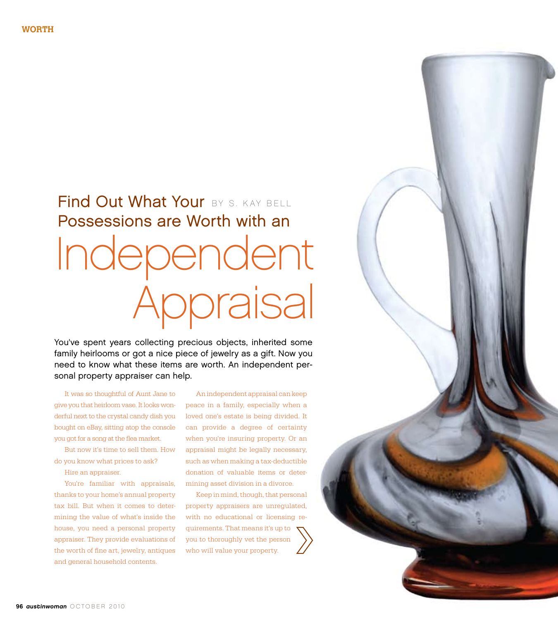# Find Out What Your BY S. KAY BELL Possessions are Worth with an Independent Appraisal

You've spent years collecting precious objects, inherited some family heirlooms or got a nice piece of jewelry as a gift. Now you need to know what these items are worth. An independent personal property appraiser can help.

It was so thoughtful of Aunt Jane to give you that heirloom vase. It looks wonderful next to the crystal candy dish you bought on eBay, sitting atop the console you got for a song at the flea market.

But now it's time to sell them. How do you know what prices to ask?

Hire an appraiser.

You're familiar with appraisals, thanks to your home's annual property tax bill. But when it comes to determining the value of what's inside the house, you need a personal property appraiser. They provide evaluations of the worth of fine art, jewelry, antiques and general household contents.

An independent appraisal can keep peace in a family, especially when a loved one's estate is being divided. It can provide a degree of certainty when you're insuring property. Or an appraisal might be legally necessary, such as when making a tax-deductible donation of valuable items or determining asset division in a divorce.

Keep in mind, though, that personal property appraisers are unregulated, with no educational or licensing requirements. That means it's up to you to thoroughly vet the person who will value your property.